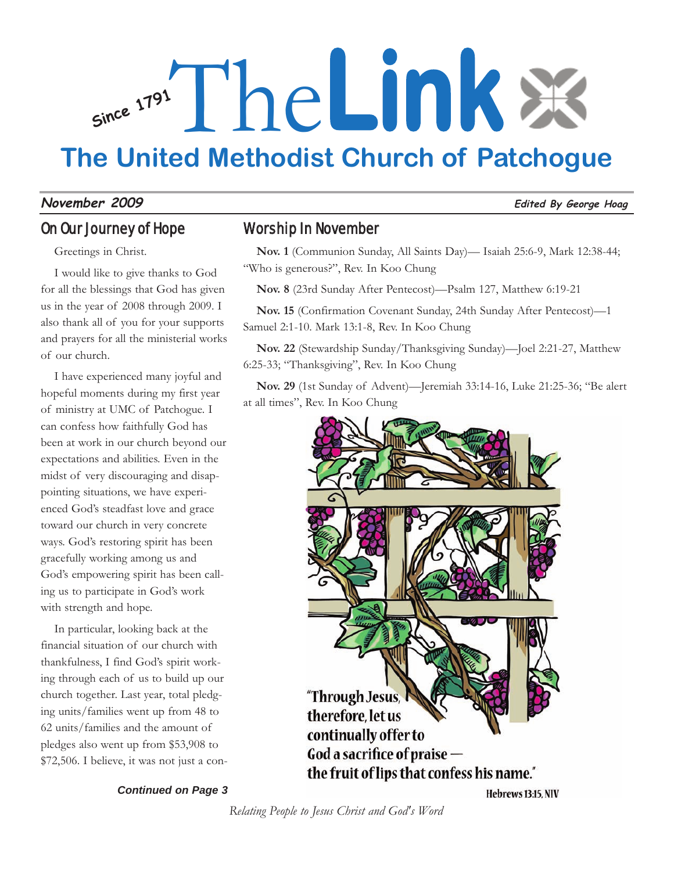# **Since <sup>1791</sup>** The**Link The United Methodist Church of Patchogue**

#### **November 2009 Edited By George Hoag**

#### On Our Journey of Hope

Greetings in Christ.

I would like to give thanks to God for all the blessings that God has given us in the year of 2008 through 2009. I also thank all of you for your supports and prayers for all the ministerial works of our church.

I have experienced many joyful and hopeful moments during my first year of ministry at UMC of Patchogue. I can confess how faithfully God has been at work in our church beyond our expectations and abilities. Even in the midst of very discouraging and disappointing situations, we have experienced God's steadfast love and grace toward our church in very concrete ways. God's restoring spirit has been gracefully working among us and God's empowering spirit has been calling us to participate in God's work with strength and hope.

In particular, looking back at the financial situation of our church with thankfulness, I find God's spirit working through each of us to build up our church together. Last year, total pledging units/families went up from 48 to 62 units/families and the amount of pledges also went up from \$53,908 to \$72,506. I believe, it was not just a con-

# Worship In November

**Nov. 1** (Communion Sunday, All Saints Day)— Isaiah 25:6-9, Mark 12:38-44; "Who is generous?", Rev. In Koo Chung

**Nov. 8** (23rd Sunday After Pentecost)—Psalm 127, Matthew 6:19-21

**Nov. 15** (Confirmation Covenant Sunday, 24th Sunday After Pentecost)—1 Samuel 2:1-10. Mark 13:1-8, Rev. In Koo Chung

**Nov. 22** (Stewardship Sunday/Thanksgiving Sunday)—Joel 2:21-27, Matthew 6:25-33; "Thanksgiving", Rev. In Koo Chung

**Nov. 29** (1st Sunday of Advent)—Jeremiah 33:14-16, Luke 21:25-36; "Be alert at all times", Rev. In Koo Chung



#### *Continued on Page 3*

Hebrews 13:15, NIV

*Relating People to Jesus Christ and God's Word*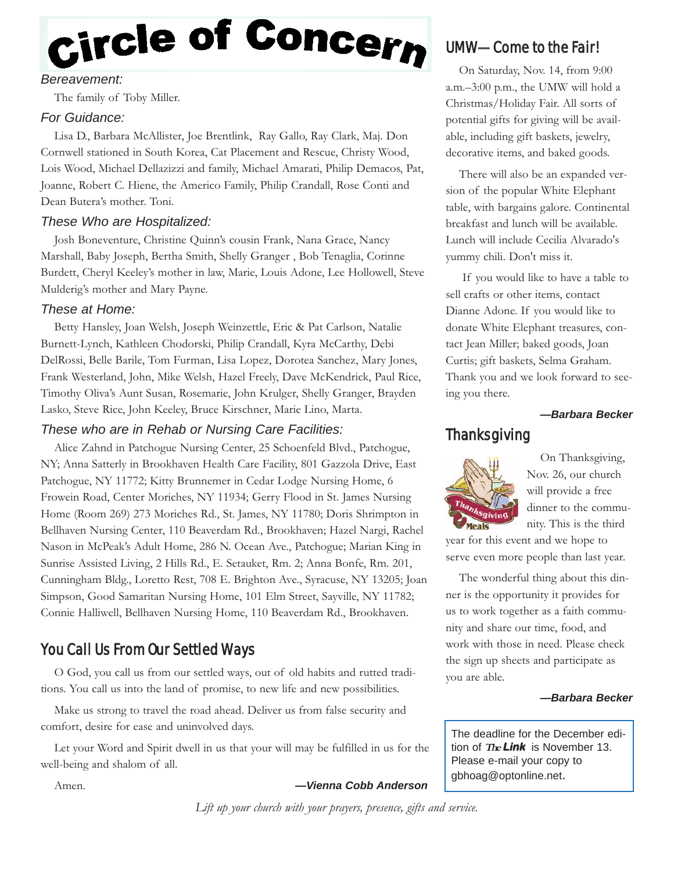# Circle of Concern

#### *Bereavement:*

The family of Toby Miller.

#### *For Guidance:*

Lisa D., Barbara McAllister, Joe Brentlink, Ray Gallo, Ray Clark, Maj. Don Cornwell stationed in South Korea, Cat Placement and Rescue, Christy Wood, Lois Wood, Michael Dellazizzi and family, Michael Amarati, Philip Demacos, Pat, Joanne, Robert C. Hiene, the Americo Family, Philip Crandall, Rose Conti and Dean Butera's mother. Toni.

#### *These Who are Hospitalized:*

Josh Boneventure, Christine Quinn's cousin Frank, Nana Grace, Nancy Marshall, Baby Joseph, Bertha Smith, Shelly Granger , Bob Tenaglia, Corinne Burdett, Cheryl Keeley's mother in law, Marie, Louis Adone, Lee Hollowell, Steve Mulderig's mother and Mary Payne.

#### *These at Home:*

Betty Hansley, Joan Welsh, Joseph Weinzettle, Eric & Pat Carlson, Natalie Burnett-Lynch, Kathleen Chodorski, Philip Crandall, Kyra McCarthy, Debi DelRossi, Belle Barile, Tom Furman, Lisa Lopez, Dorotea Sanchez, Mary Jones, Frank Westerland, John, Mike Welsh, Hazel Freely, Dave McKendrick, Paul Rice, Timothy Oliva's Aunt Susan, Rosemarie, John Krulger, Shelly Granger, Brayden Lasko, Steve Rice, John Keeley, Bruce Kirschner, Marie Lino, Marta.

#### *These who are in Rehab or Nursing Care Facilities:*

Alice Zahnd in Patchogue Nursing Center, 25 Schoenfeld Blvd., Patchogue, NY; Anna Satterly in Brookhaven Health Care Facility, 801 Gazzola Drive, East Patchogue, NY 11772; Kitty Brunnemer in Cedar Lodge Nursing Home, 6 Frowein Road, Center Moriches, NY 11934; Gerry Flood in St. James Nursing Home (Room 269) 273 Moriches Rd., St. James, NY 11780; Doris Shrimpton in Bellhaven Nursing Center, 110 Beaverdam Rd., Brookhaven; Hazel Nargi, Rachel Nason in McPeak's Adult Home, 286 N. Ocean Ave., Patchogue; Marian King in Sunrise Assisted Living, 2 Hills Rd., E. Setauket, Rm. 2; Anna Bonfe, Rm. 201, Cunningham Bldg., Loretto Rest, 708 E. Brighton Ave., Syracuse, NY 13205; Joan Simpson, Good Samaritan Nursing Home, 101 Elm Street, Sayville, NY 11782; Connie Halliwell, Bellhaven Nursing Home, 110 Beaverdam Rd., Brookhaven.

# You Call Us From Our Settled Ways

O God, you call us from our settled ways, out of old habits and rutted traditions. You call us into the land of promise, to new life and new possibilities.

Make us strong to travel the road ahead. Deliver us from false security and comfort, desire for ease and uninvolved days.

Let your Word and Spirit dwell in us that your will may be fulfilled in us for the well-being and shalom of all.

#### Amen. *—Vienna Cobb Anderson*

UMW—Come to the Fair!

On Saturday, Nov. 14, from 9:00 a.m.–3:00 p.m., the UMW will hold a Christmas/Holiday Fair. All sorts of potential gifts for giving will be available, including gift baskets, jewelry, decorative items, and baked goods.

There will also be an expanded version of the popular White Elephant table, with bargains galore. Continental breakfast and lunch will be available. Lunch will include Cecilia Alvarado's yummy chili. Don't miss it.

If you would like to have a table to sell crafts or other items, contact Dianne Adone. If you would like to donate White Elephant treasures, contact Jean Miller; baked goods, Joan Curtis; gift baskets, Selma Graham. Thank you and we look forward to seeing you there.

#### *—Barbara Becker*

## Thanksgiving



On Thanksgiving, Nov. 26, our church will provide a free dinner to the community. This is the third

year for this event and we hope to serve even more people than last year.

The wonderful thing about this dinner is the opportunity it provides for us to work together as a faith community and share our time, food, and work with those in need. Please check the sign up sheets and participate as you are able.

#### *—Barbara Becker*

The deadline for the December edition of **TheLink** is November 13. Please e-mail your copy to gbhoag@optonline.net.

*Lift up your church with your prayers, presence, gifts and service.*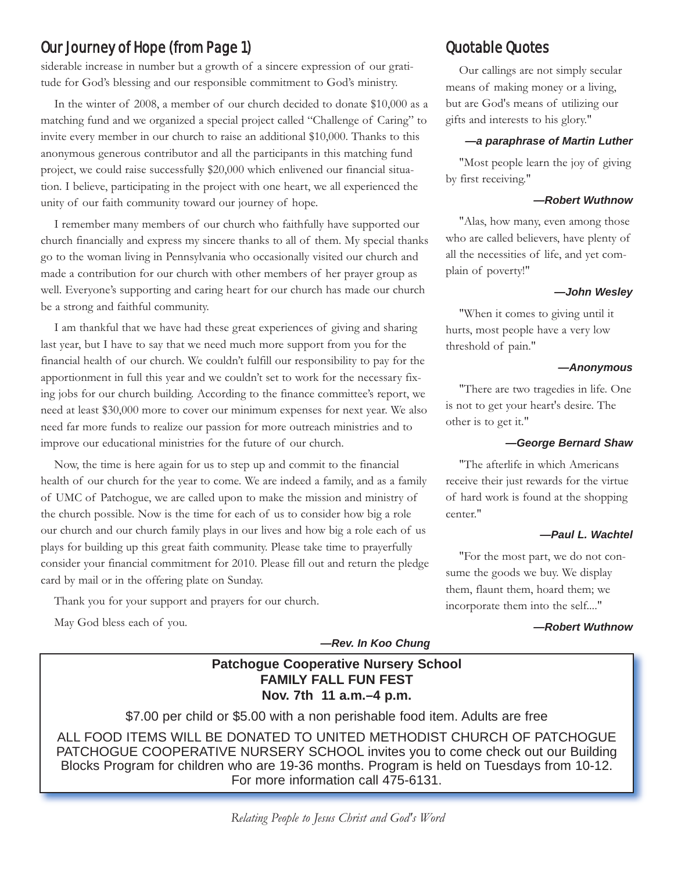# Our Journey of Hope (from Page 1)

siderable increase in number but a growth of a sincere expression of our gratitude for God's blessing and our responsible commitment to God's ministry.

In the winter of 2008, a member of our church decided to donate \$10,000 as a matching fund and we organized a special project called "Challenge of Caring" to invite every member in our church to raise an additional \$10,000. Thanks to this anonymous generous contributor and all the participants in this matching fund project, we could raise successfully \$20,000 which enlivened our financial situation. I believe, participating in the project with one heart, we all experienced the unity of our faith community toward our journey of hope.

I remember many members of our church who faithfully have supported our church financially and express my sincere thanks to all of them. My special thanks go to the woman living in Pennsylvania who occasionally visited our church and made a contribution for our church with other members of her prayer group as well. Everyone's supporting and caring heart for our church has made our church be a strong and faithful community.

I am thankful that we have had these great experiences of giving and sharing last year, but I have to say that we need much more support from you for the financial health of our church. We couldn't fulfill our responsibility to pay for the apportionment in full this year and we couldn't set to work for the necessary fixing jobs for our church building. According to the finance committee's report, we need at least \$30,000 more to cover our minimum expenses for next year. We also need far more funds to realize our passion for more outreach ministries and to improve our educational ministries for the future of our church.

Now, the time is here again for us to step up and commit to the financial health of our church for the year to come. We are indeed a family, and as a family of UMC of Patchogue, we are called upon to make the mission and ministry of the church possible. Now is the time for each of us to consider how big a role our church and our church family plays in our lives and how big a role each of us plays for building up this great faith community. Please take time to prayerfully consider your financial commitment for 2010. Please fill out and return the pledge card by mail or in the offering plate on Sunday.

Thank you for your support and prayers for our church.

May God bless each of you.

Quotable Quotes

Our callings are not simply secular means of making money or a living, but are God's means of utilizing our gifts and interests to his glory."

#### *—a paraphrase of Martin Luther*

"Most people learn the joy of giving by first receiving."

#### *—Robert Wuthnow*

"Alas, how many, even among those who are called believers, have plenty of all the necessities of life, and yet complain of poverty!"

#### *—John Wesley*

"When it comes to giving until it hurts, most people have a very low threshold of pain."

#### *—Anonymous*

"There are two tragedies in life. One is not to get your heart's desire. The other is to get it."

#### *—George Bernard Shaw*

"The afterlife in which Americans receive their just rewards for the virtue of hard work is found at the shopping center."

#### *—Paul L. Wachtel*

"For the most part, we do not consume the goods we buy. We display them, flaunt them, hoard them; we incorporate them into the self...."

#### *—Robert Wuthnow*

*—Rev. In Koo Chung*

## **Patchogue Cooperative Nursery School FAMILY FALL FUN FEST Nov. 7th 11 a.m.–4 p.m.**

\$7.00 per child or \$5.00 with a non perishable food item. Adults are free

ALL FOOD ITEMS WILL BE DONATED TO UNITED METHODIST CHURCH OF PATCHOGUE PATCHOGUE COOPERATIVE NURSERY SCHOOL invites you to come check out our Building Blocks Program for children who are 19-36 months. Program is held on Tuesdays from 10-12. For more information call 475-6131.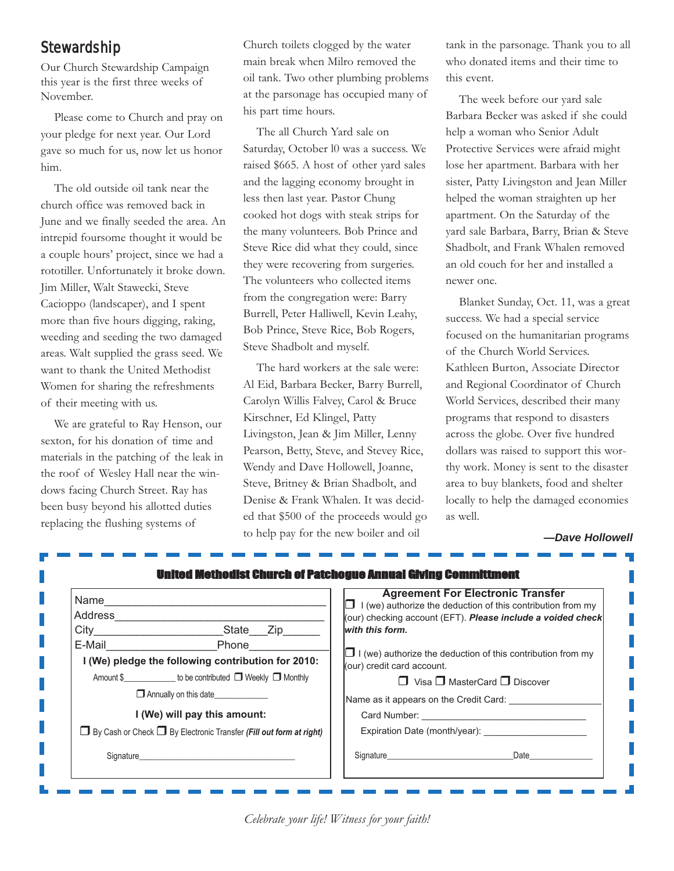## Stewardship

Our Church Stewardship Campaign this year is the first three weeks of November.

Please come to Church and pray on your pledge for next year. Our Lord gave so much for us, now let us honor him.

The old outside oil tank near the church office was removed back in June and we finally seeded the area. An intrepid foursome thought it would be a couple hours' project, since we had a rototiller. Unfortunately it broke down. Jim Miller, Walt Stawecki, Steve Cacioppo (landscaper), and I spent more than five hours digging, raking, weeding and seeding the two damaged areas. Walt supplied the grass seed. We want to thank the United Methodist Women for sharing the refreshments of their meeting with us.

We are grateful to Ray Henson, our sexton, for his donation of time and materials in the patching of the leak in the roof of Wesley Hall near the windows facing Church Street. Ray has been busy beyond his allotted duties replacing the flushing systems of

Church toilets clogged by the water main break when Milro removed the oil tank. Two other plumbing problems at the parsonage has occupied many of his part time hours.

The all Church Yard sale on Saturday, October l0 was a success. We raised \$665. A host of other yard sales and the lagging economy brought in less then last year. Pastor Chung cooked hot dogs with steak strips for the many volunteers. Bob Prince and Steve Rice did what they could, since they were recovering from surgeries. The volunteers who collected items from the congregation were: Barry Burrell, Peter Halliwell, Kevin Leahy, Bob Prince, Steve Rice, Bob Rogers, Steve Shadbolt and myself.

The hard workers at the sale were: Al Eid, Barbara Becker, Barry Burrell, Carolyn Willis Falvey, Carol & Bruce Kirschner, Ed Klingel, Patty Livingston, Jean & Jim Miller, Lenny Pearson, Betty, Steve, and Stevey Rice, Wendy and Dave Hollowell, Joanne, Steve, Britney & Brian Shadbolt, and Denise & Frank Whalen. It was decided that \$500 of the proceeds would go to help pay for the new boiler and oil

tank in the parsonage. Thank you to all who donated items and their time to this event.

The week before our yard sale Barbara Becker was asked if she could help a woman who Senior Adult Protective Services were afraid might lose her apartment. Barbara with her sister, Patty Livingston and Jean Miller helped the woman straighten up her apartment. On the Saturday of the yard sale Barbara, Barry, Brian & Steve Shadbolt, and Frank Whalen removed an old couch for her and installed a newer one.

Blanket Sunday, Oct. 11, was a great success. We had a special service focused on the humanitarian programs of the Church World Services. Kathleen Burton, Associate Director and Regional Coordinator of Church World Services, described their many programs that respond to disasters across the globe. Over five hundred dollars was raised to support this worthy work. Money is sent to the disaster area to buy blankets, food and shelter locally to help the damaged economies as well.

#### *—Dave Hollowell*

| Name                                                                           |                                                                                                                                                                                                                                     |  | <b>Agreement For Electronic Transfer</b><br>$\Box$ I (we) authorize the deduction of this contribution from my |                                                             |  |  |  |
|--------------------------------------------------------------------------------|-------------------------------------------------------------------------------------------------------------------------------------------------------------------------------------------------------------------------------------|--|----------------------------------------------------------------------------------------------------------------|-------------------------------------------------------------|--|--|--|
| Address                                                                        |                                                                                                                                                                                                                                     |  |                                                                                                                | (our) checking account (EFT). Please include a voided check |  |  |  |
| <b>City City</b>                                                               | _State___Zip_____                                                                                                                                                                                                                   |  | with this form.                                                                                                |                                                             |  |  |  |
| E-Mail                                                                         | Phone                                                                                                                                                                                                                               |  |                                                                                                                |                                                             |  |  |  |
| I (We) pledge the following contribution for 2010:                             |                                                                                                                                                                                                                                     |  | $\Box$ I (we) authorize the deduction of this contribution from my<br>(our) credit card account.               |                                                             |  |  |  |
|                                                                                | Amount \$______________ to be contributed □ Weekly □ Monthly                                                                                                                                                                        |  |                                                                                                                | $\Box$ Visa $\Box$ MasterCard $\Box$ Discover               |  |  |  |
| Annually on this date                                                          |                                                                                                                                                                                                                                     |  | Name as it appears on the Credit Card:                                                                         |                                                             |  |  |  |
| I (We) will pay this amount:                                                   |                                                                                                                                                                                                                                     |  |                                                                                                                |                                                             |  |  |  |
| $\Box$ By Cash or Check $\Box$ By Electronic Transfer (Fill out form at right) |                                                                                                                                                                                                                                     |  | Expiration Date (month/year):                                                                                  |                                                             |  |  |  |
|                                                                                | Signature <b>Signature</b> and the state of the state of the state of the state of the state of the state of the state of the state of the state of the state of the state of the state of the state of the state of the state of t |  |                                                                                                                | Signature Date Date                                         |  |  |  |

*Celebrate your life! Witness for your faith!*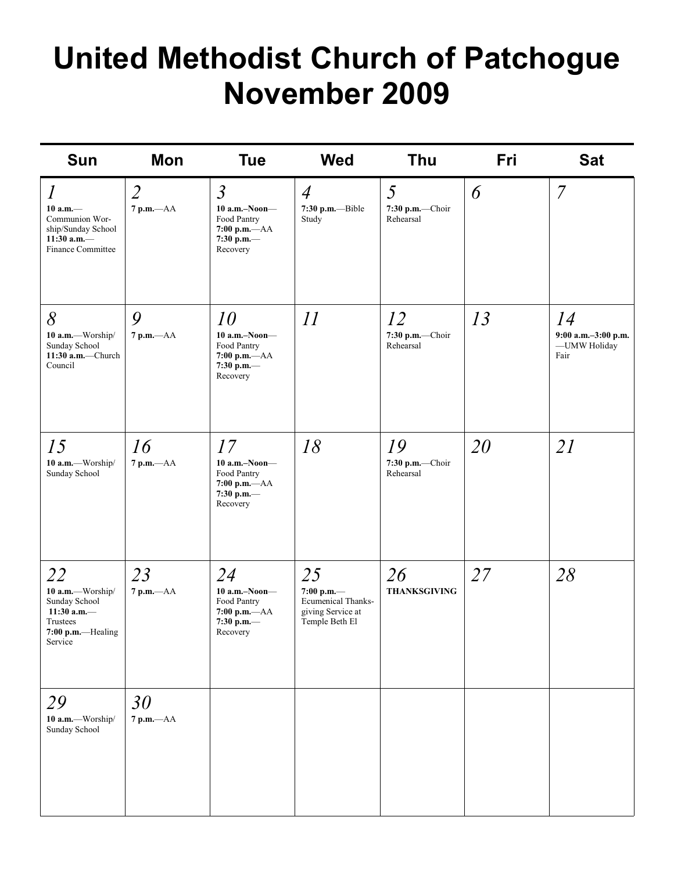# **United Methodist Church of Patchogue November 2009**

| <b>Sun</b>                                                                                                            | Mon                              | <b>Tue</b>                                                                                      | <b>Wed</b>                                                                           | Thu                                | Fri | <b>Sat</b>                                        |
|-----------------------------------------------------------------------------------------------------------------------|----------------------------------|-------------------------------------------------------------------------------------------------|--------------------------------------------------------------------------------------|------------------------------------|-----|---------------------------------------------------|
| $\boldsymbol{l}$<br>$10 a.m.$ —<br>Communion Wor-<br>ship/Sunday School<br>11:30 a.m. $-$<br><b>Finance Committee</b> | $\overline{2}$<br>$7$ p.m. $-AA$ | $\overline{3}$<br>$10$ a.m.-Noon-<br>Food Pantry<br>$7:00$ p.m. $-AA$<br>7:30 p.m.-<br>Recovery | $\overline{4}$<br>7:30 p.m.--Bible<br>Study                                          | 5<br>7:30 p.m.-Choir<br>Rehearsal  | 6   | $\overline{7}$                                    |
| 8<br>10 a.m.-Worship/<br>Sunday School<br>11:30 $a.m.$ —Church<br>Council                                             | 9<br>$7$ p.m. $-AA$              | 10<br>$10$ a.m.-Noon-<br>Food Pantry<br>7:00 p.m. $-AA$<br>7:30 p.m.-<br>Recovery               | 11                                                                                   | 12<br>7:30 p.m.-Choir<br>Rehearsal | 13  | 14<br>9:00 a.m.-3:00 p.m.<br>-UMW Holiday<br>Fair |
| 15<br>10 a.m.-Worship/<br>Sunday School                                                                               | 16<br>$7$ p.m. $-AA$             | 17<br>$10$ a.m.-Noon-<br>Food Pantry<br>$7:00 p.m. -AA$<br>7:30 p.m.-<br>Recovery               | 18                                                                                   | 19<br>7:30 p.m.—Choir<br>Rehearsal | 20  | 21                                                |
| 22<br>10 a.m.-Worship/<br>Sunday School<br>11:30 a.m. $-$<br>Trustees<br>7:00 p.m.-Healing<br>Service                 | 23<br>7 p.m.-- AA                | 24<br>$10$ a.m.-Noon-<br>Food Pantry<br>7:00 p.m.-- AA<br>7:30 p.m.-<br>Recovery                | 25<br>7:00 p.m.-<br><b>Ecumenical Thanks-</b><br>giving Service at<br>Temple Beth El | 26<br><b>THANKSGIVING</b>          | 27  | 28                                                |
| 29<br>10 a.m.-Worship/<br>Sunday School                                                                               | 30<br>$7 p.m. -AA$               |                                                                                                 |                                                                                      |                                    |     |                                                   |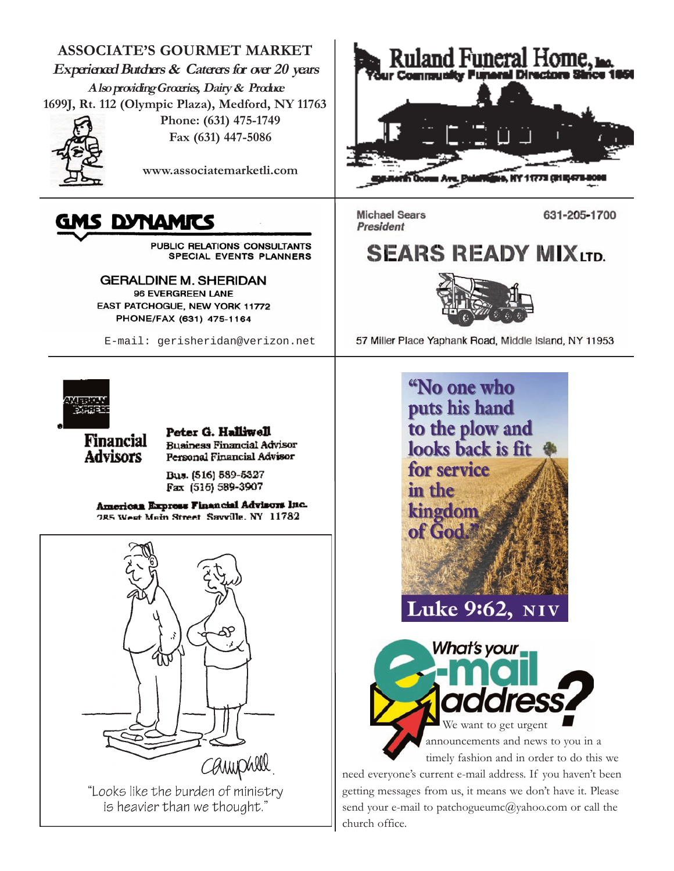**ASSOCIATE'S GOURMET MARKET Experienced Butchers & Caterers for over 20 years Also providing Groceries, Dairy & Produce 1699J, Rt. 112 (Olympic Plaza), Medford, NY 11763**



**Phone: (631) 475-1749 Fax (631) 447-5086**

**www.associatemarketli.com**

# GMS DYNAMITS

PUBLIC RELATIONS CONSULTANTS SPECIAL EVENTS PLANNERS

**GERALDINE M. SHERIDAN** 96 EVERGREEN LANE EAST PATCHOGUE, NEW YORK 11772 PHONE/FAX (631) 475-1164

E-mail: gerisheridan@verizon.net



**Financial** 

**Advisors** 

Peter G. Halliwell **Business Financial Advisor** Personal Financial Advisor

Bus. (516) 589-5327 Fax (516) 589-3907

American Express Financial Advisors Inc. 285 West Main Street Savville, NY 11782



"Looks like the burden of ministry is heavier than we thought."



**Michael Sears** President

631-205-1700

# **SEARS READY MIX LTD.**



57 Miller Place Yaphank Road, Middle Island, NY 11953



timely fashion and in order to do this we

need everyone's current e-mail address. If you haven't been getting messages from us, it means we don't have it. Please send your e-mail to patchogueumc@yahoo.com or call the church office.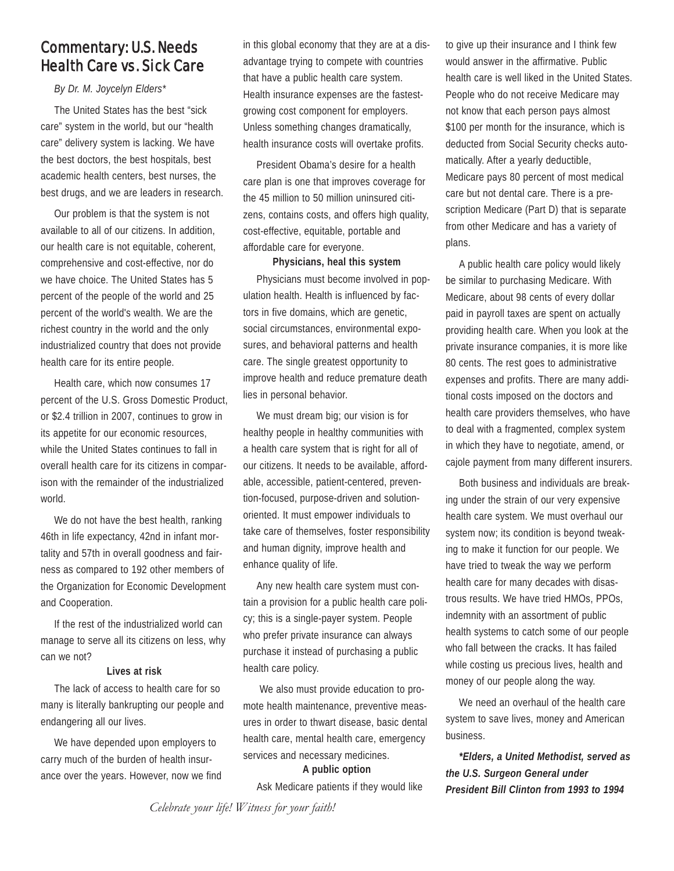# Commentary: U.S. Needs Health Care vs. Sick Care

#### *By Dr. M. Joycelyn Elders\**

The United States has the best "sick care" system in the world, but our "health care" delivery system is lacking. We have the best doctors, the best hospitals, best academic health centers, best nurses, the best drugs, and we are leaders in research.

Our problem is that the system is not available to all of our citizens. In addition, our health care is not equitable, coherent, comprehensive and cost-effective, nor do we have choice. The United States has 5 percent of the people of the world and 25 percent of the world's wealth. We are the richest country in the world and the only industrialized country that does not provide health care for its entire people.

Health care, which now consumes 17 percent of the U.S. Gross Domestic Product, or \$2.4 trillion in 2007, continues to grow in its appetite for our economic resources, while the United States continues to fall in overall health care for its citizens in comparison with the remainder of the industrialized world.

We do not have the best health, ranking 46th in life expectancy, 42nd in infant mortality and 57th in overall goodness and fairness as compared to 192 other members of the Organization for Economic Development and Cooperation.

If the rest of the industrialized world can manage to serve all its citizens on less, why can we not?

#### **Lives at risk**

The lack of access to health care for so many is literally bankrupting our people and endangering all our lives.

We have depended upon employers to carry much of the burden of health insurance over the years. However, now we find in this global economy that they are at a disadvantage trying to compete with countries that have a public health care system. Health insurance expenses are the fastestgrowing cost component for employers. Unless something changes dramatically, health insurance costs will overtake profits.

President Obama's desire for a health care plan is one that improves coverage for the 45 million to 50 million uninsured citizens, contains costs, and offers high quality, cost-effective, equitable, portable and affordable care for everyone.

**Physicians, heal this system**  Physicians must become involved in population health. Health is influenced by factors in five domains, which are genetic, social circumstances, environmental exposures, and behavioral patterns and health care. The single greatest opportunity to improve health and reduce premature death lies in personal behavior.

We must dream big; our vision is for healthy people in healthy communities with a health care system that is right for all of our citizens. It needs to be available, affordable, accessible, patient-centered, prevention-focused, purpose-driven and solutionoriented. It must empower individuals to take care of themselves, foster responsibility and human dignity, improve health and enhance quality of life.

Any new health care system must contain a provision for a public health care policy; this is a single-payer system. People who prefer private insurance can always purchase it instead of purchasing a public health care policy.

We also must provide education to promote health maintenance, preventive measures in order to thwart disease, basic dental health care, mental health care, emergency services and necessary medicines.

#### **A public option**

Ask Medicare patients if they would like

to give up their insurance and I think few would answer in the affirmative. Public health care is well liked in the United States. People who do not receive Medicare may not know that each person pays almost \$100 per month for the insurance, which is deducted from Social Security checks automatically. After a yearly deductible, Medicare pays 80 percent of most medical care but not dental care. There is a prescription Medicare (Part D) that is separate from other Medicare and has a variety of plans.

A public health care policy would likely be similar to purchasing Medicare. With Medicare, about 98 cents of every dollar paid in payroll taxes are spent on actually providing health care. When you look at the private insurance companies, it is more like 80 cents. The rest goes to administrative expenses and profits. There are many additional costs imposed on the doctors and health care providers themselves, who have to deal with a fragmented, complex system in which they have to negotiate, amend, or cajole payment from many different insurers.

Both business and individuals are breaking under the strain of our very expensive health care system. We must overhaul our system now; its condition is beyond tweaking to make it function for our people. We have tried to tweak the way we perform health care for many decades with disastrous results. We have tried HMOs, PPOs, indemnity with an assortment of public health systems to catch some of our people who fall between the cracks. It has failed while costing us precious lives, health and money of our people along the way.

We need an overhaul of the health care system to save lives, money and American business.

*\*Elders, a United Methodist, served as the U.S. Surgeon General under President Bill Clinton from 1993 to 1994* 

*Celebrate your life! Witness for your faith!*